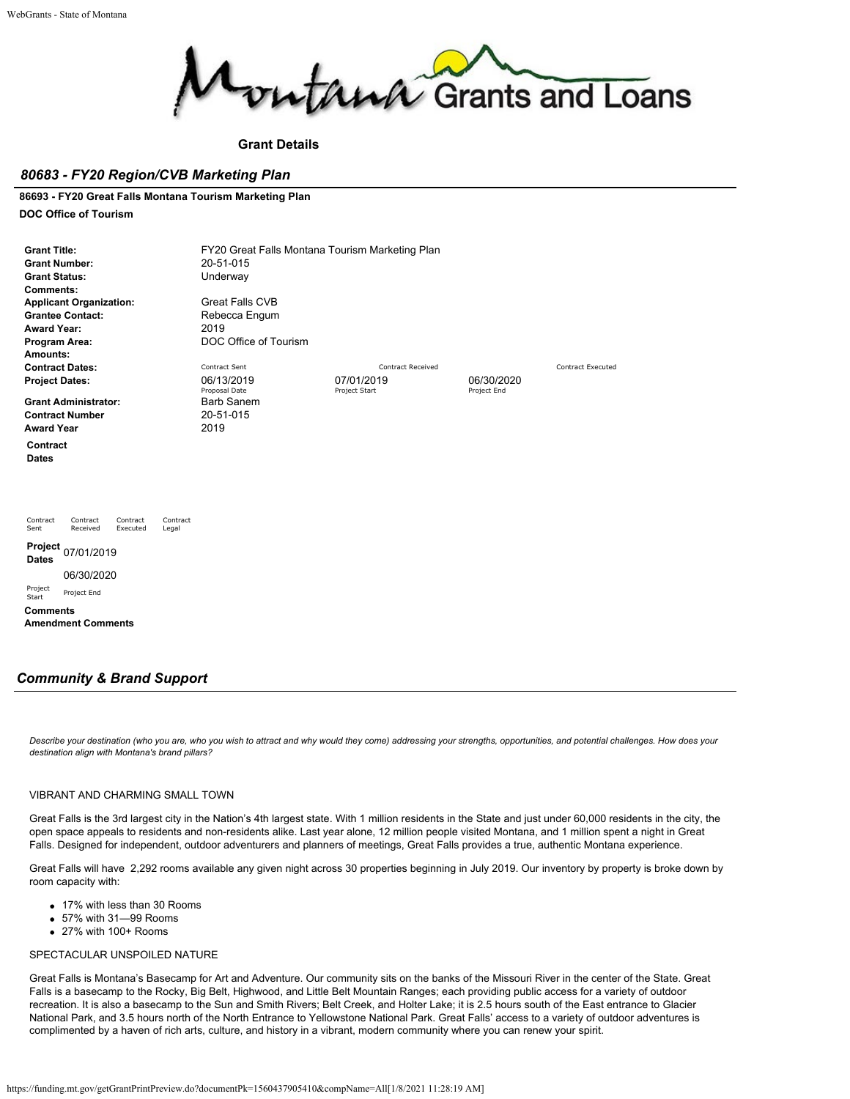

### **Grant Details**

## *80683 - FY20 Region/CVB Marketing Plan*

### **86693 - FY20 Great Falls Montana Tourism Marketing Plan**

### **DOC Office of Tourism**

| <b>Grant Title:</b><br><b>Grant Number:</b><br><b>Grant Status:</b><br><b>Comments:</b><br><b>Applicant Organization:</b><br><b>Grantee Contact:</b><br><b>Award Year:</b><br>Program Area:<br>Amounts: | FY20 Great Falls Montana Tourism Marketing Plan<br>20-51-015<br>Underway<br><b>Great Falls CVB</b><br>Rebecca Engum<br>2019<br>DOC Office of Tourism |                             |                           |                          |  |  |
|---------------------------------------------------------------------------------------------------------------------------------------------------------------------------------------------------------|------------------------------------------------------------------------------------------------------------------------------------------------------|-----------------------------|---------------------------|--------------------------|--|--|
| <b>Contract Dates:</b>                                                                                                                                                                                  | Contract Sent                                                                                                                                        | <b>Contract Received</b>    |                           | <b>Contract Executed</b> |  |  |
| <b>Project Dates:</b>                                                                                                                                                                                   | 06/13/2019<br>Proposal Date                                                                                                                          | 07/01/2019<br>Project Start | 06/30/2020<br>Project End |                          |  |  |
| <b>Grant Administrator:</b>                                                                                                                                                                             | <b>Barb Sanem</b>                                                                                                                                    |                             |                           |                          |  |  |
| <b>Contract Number</b>                                                                                                                                                                                  | 20-51-015                                                                                                                                            |                             |                           |                          |  |  |
| <b>Award Year</b>                                                                                                                                                                                       | 2019                                                                                                                                                 |                             |                           |                          |  |  |
| Contract<br><b>Dates</b>                                                                                                                                                                                |                                                                                                                                                      |                             |                           |                          |  |  |
| Contract<br>Contract<br>Contract<br>Contract<br>Sent<br>Received<br>Executed<br>Legal                                                                                                                   |                                                                                                                                                      |                             |                           |                          |  |  |
| Project 07/01/2019<br><b>Dates</b>                                                                                                                                                                      |                                                                                                                                                      |                             |                           |                          |  |  |
| 06/30/2020                                                                                                                                                                                              |                                                                                                                                                      |                             |                           |                          |  |  |
| Project<br>Project End<br>Start                                                                                                                                                                         |                                                                                                                                                      |                             |                           |                          |  |  |
| <b>Comments</b><br><b>Amendment Comments</b>                                                                                                                                                            |                                                                                                                                                      |                             |                           |                          |  |  |

## *Community & Brand Support*

*Describe your destination (who you are, who you wish to attract and why would they come) addressing your strengths, opportunities, and potential challenges. How does your destination align with Montana's brand pillars?*

#### VIBRANT AND CHARMING SMALL TOWN

Great Falls is the 3rd largest city in the Nation's 4th largest state. With 1 million residents in the State and just under 60,000 residents in the city, the open space appeals to residents and non-residents alike. Last year alone, 12 million people visited Montana, and 1 million spent a night in Great Falls. Designed for independent, outdoor adventurers and planners of meetings, Great Falls provides a true, authentic Montana experience.

Great Falls will have 2,292 rooms available any given night across 30 properties beginning in July 2019. Our inventory by property is broke down by room capacity with:

- 17% with less than 30 Rooms
- 57% with 31—99 Rooms
- 27% with 100+ Rooms

### SPECTACULAR UNSPOILED NATURE

Great Falls is Montana's Basecamp for Art and Adventure. Our community sits on the banks of the Missouri River in the center of the State. Great Falls is a basecamp to the Rocky, Big Belt, Highwood, and Little Belt Mountain Ranges; each providing public access for a variety of outdoor recreation. It is also a basecamp to the Sun and Smith Rivers; Belt Creek, and Holter Lake; it is 2.5 hours south of the East entrance to Glacier National Park, and 3.5 hours north of the North Entrance to Yellowstone National Park. Great Falls' access to a variety of outdoor adventures is complimented by a haven of rich arts, culture, and history in a vibrant, modern community where you can renew your spirit.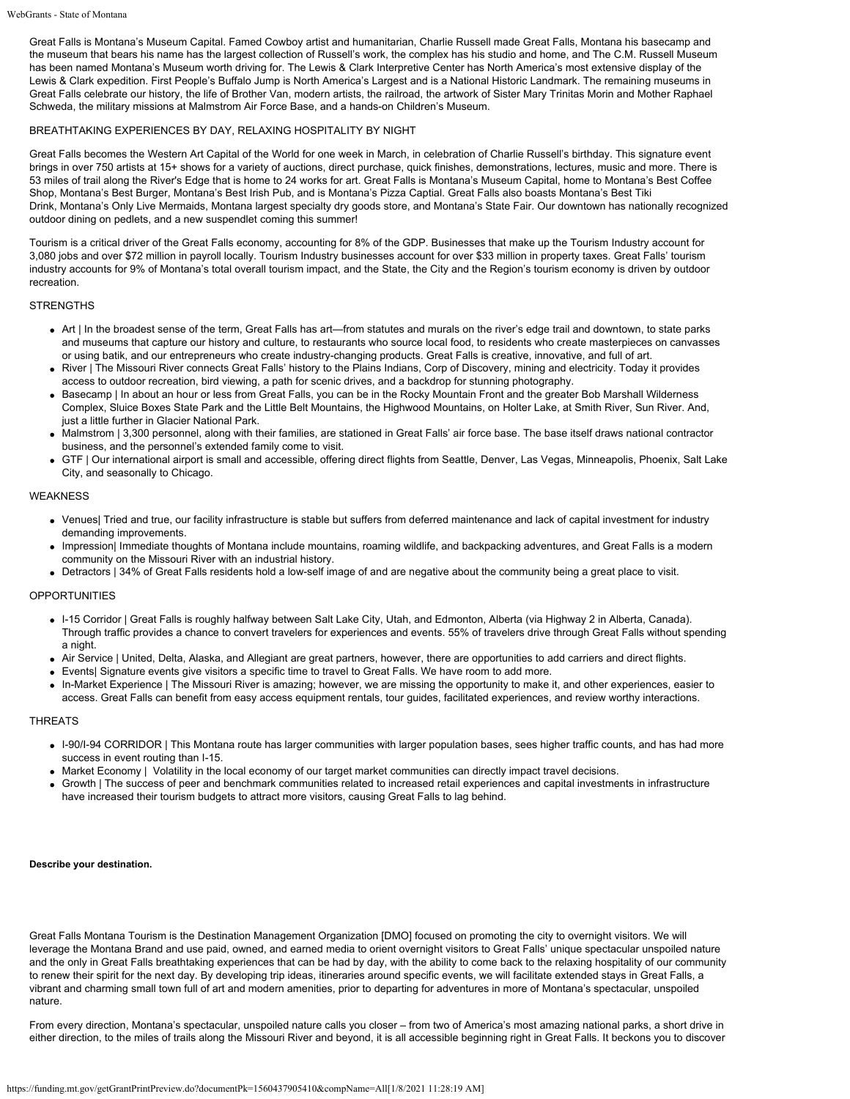Great Falls is Montana's Museum Capital. Famed Cowboy artist and humanitarian, Charlie Russell made Great Falls, Montana his basecamp and the museum that bears his name has the largest collection of Russell's work, the complex has his studio and home, and The C.M. Russell Museum has been named Montana's Museum worth driving for. The Lewis & Clark Interpretive Center has North America's most extensive display of the Lewis & Clark expedition. First People's Buffalo Jump is North America's Largest and is a National Historic Landmark. The remaining museums in Great Falls celebrate our history, the life of Brother Van, modern artists, the railroad, the artwork of Sister Mary Trinitas Morin and Mother Raphael Schweda, the military missions at Malmstrom Air Force Base, and a hands-on Children's Museum.

### BREATHTAKING EXPERIENCES BY DAY, RELAXING HOSPITALITY BY NIGHT

Great Falls becomes the Western Art Capital of the World for one week in March, in celebration of Charlie Russell's birthday. This signature event brings in over 750 artists at 15+ shows for a variety of auctions, direct purchase, quick finishes, demonstrations, lectures, music and more. There is 53 miles of trail along the River's Edge that is home to 24 works for art. Great Falls is Montana's Museum Capital, home to [Montana's Best Coffee](http://www.crookedtreecoffeeandcakes.com/) [Shop,](http://www.crookedtreecoffeeandcakes.com/) [Montana's Best Burger](http://www.roadhousegf.com/), [Montana's Best Irish Pub,](http://www.thecelticcowboy.com/Home) and is Montana's Pizza Captial. Great Falls also boasts [Montana's Best Tiki](https://ohairemotorinn.com/sip-n-dip/) [Drink,](https://ohairemotorinn.com/sip-n-dip/) [Montana's Only Live Mermaids](https://ohairemotorinn.com/sip-n-dip/), [Montana largest specialty dry goods store](http://www.buydragonfly.com/), and [Montana's State Fair](http://goexpopark.com/montana-state-fair/). Our downtown has nationally recognized outdoor dining on pedlets, and a new suspendlet coming this summer!

Tourism is a critical driver of the Great Falls economy, accounting for 8% of the GDP. Businesses that make up the Tourism Industry account for 3,080 jobs and over \$72 million in payroll locally. Tourism Industry businesses account for over \$33 million in property taxes. Great Falls' tourism industry accounts for 9% of Montana's total overall tourism impact, and the State, the City and the Region's tourism economy is driven by outdoor recreation.

#### **STRENGTHS**

- Art | In the broadest sense of the term, Great Falls has art—from statutes and murals on the river's edge trail and downtown, to state parks and museums that capture our history and culture, to restaurants who source local food, to residents who create masterpieces on canvasses or using batik, and our entrepreneurs who create industry-changing products. Great Falls is creative, innovative, and full of art.
- River | The Missouri River connects Great Falls' history to the Plains Indians, Corp of Discovery, mining and electricity. Today it provides access to outdoor recreation, bird viewing, a path for scenic drives, and a backdrop for stunning photography.
- Basecamp | In about an hour or less from Great Falls, you can be in the Rocky Mountain Front and the greater Bob Marshall Wilderness Complex, Sluice Boxes State Park and the Little Belt Mountains, the Highwood Mountains, on Holter Lake, at Smith River, Sun River. And, just a little further in Glacier National Park.
- Malmstrom | 3,300 personnel, along with their families, are stationed in Great Falls' air force base. The base itself draws national contractor business, and the personnel's extended family come to visit.
- GTF | Our international airport is small and accessible, offering direct flights from Seattle, Denver, Las Vegas, Minneapolis, Phoenix, Salt Lake City, and seasonally to Chicago.

#### **WEAKNESS**

- Venues| Tried and true, our facility infrastructure is stable but suffers from deferred maintenance and lack of capital investment for industry demanding improvements.
- Impression| Immediate thoughts of Montana include mountains, roaming wildlife, and backpacking adventures, and Great Falls is a modern community on the Missouri River with an industrial history.
- Detractors | 34% of Great Falls residents hold a low-self image of and are negative about the community being a great place to visit.

### OPPORTUNITIES

- I-15 Corridor | Great Falls is roughly halfway between Salt Lake City, Utah, and Edmonton, Alberta (via Highway 2 in Alberta, Canada). Through traffic provides a chance to convert travelers for experiences and events. 55% of travelers drive through Great Falls without spending a night.
- Air Service | United, Delta, Alaska, and Allegiant are great partners, however, there are opportunities to add carriers and direct flights.
- Events| Signature events give visitors a specific time to travel to Great Falls. We have room to add more.
- In-Market Experience | The Missouri River is amazing; however, we are missing the opportunity to make it, and other experiences, easier to access. Great Falls can benefit from easy access equipment rentals, tour guides, facilitated experiences, and review worthy interactions.

#### THREATS

- I-90/I-94 CORRIDOR | This Montana route has larger communities with larger population bases, sees higher traffic counts, and has had more success in event routing than I-15.
- Market Economy | Volatility in the local economy of our target market communities can directly impact travel decisions.
- Growth | The success of peer and benchmark communities related to increased retail experiences and capital investments in infrastructure have increased their tourism budgets to attract more visitors, causing Great Falls to lag behind.

#### **Describe your destination.**

Great Falls Montana Tourism is the Destination Management Organization [DMO] focused on promoting the city to overnight visitors. We will leverage the Montana Brand and use paid, owned, and earned media to orient overnight visitors to Great Falls' unique spectacular unspoiled nature and the only in Great Falls breathtaking experiences that can be had by day, with the ability to come back to the relaxing hospitality of our community to renew their spirit for the next day. By developing trip ideas, itineraries around specific events, we will facilitate extended stays in Great Falls, a vibrant and charming small town full of art and modern amenities, prior to departing for adventures in more of Montana's spectacular, unspoiled nature.

From every direction, Montana's spectacular, unspoiled nature calls you closer – from two of America's most amazing national parks, a short drive in either direction, to the miles of trails along the Missouri River and beyond, it is all accessible beginning right in Great Falls. It beckons you to discover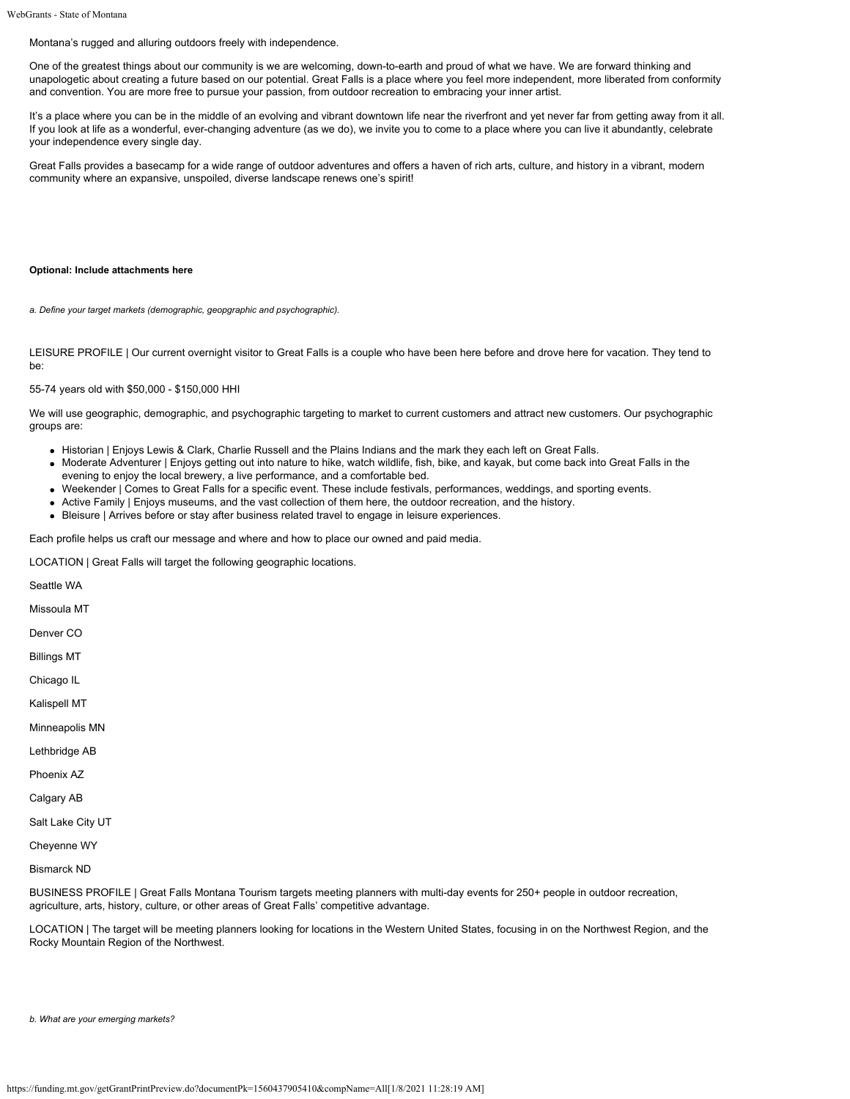Montana's rugged and alluring outdoors freely with independence.

One of the greatest things about our community is we are welcoming, down-to-earth and proud of what we have. We are forward thinking and unapologetic about creating a future based on our potential. Great Falls is a place where you feel more independent, more liberated from conformity and convention. You are more free to pursue your passion, from outdoor recreation to embracing your inner artist.

It's a place where you can be in the middle of an evolving and vibrant downtown life near the riverfront and yet never far from getting away from it all. If you look at life as a wonderful, ever-changing adventure (as we do), we invite you to come to a place where you can live it abundantly, celebrate your independence every single day.

Great Falls provides a basecamp for a wide range of outdoor adventures and offers a haven of rich arts, culture, and history in a vibrant, modern community where an expansive, unspoiled, diverse landscape renews one's spirit!

#### **Optional: Include attachments here**

*a. Define your target markets (demographic, geopgraphic and psychographic).*

LEISURE PROFILE | Our current overnight visitor to Great Falls is a couple who have been here before and drove here for vacation. They tend to be:

55-74 years old with \$50,000 - \$150,000 HHI

We will use geographic, demographic, and psychographic targeting to market to current customers and attract new customers. Our psychographic groups are:

- Historian | Enjoys Lewis & Clark, Charlie Russell and the Plains Indians and the mark they each left on Great Falls.
- Moderate Adventurer | Enjoys getting out into nature to hike, watch wildlife, fish, bike, and kayak, but come back into Great Falls in the evening to enjoy the local brewery, a live performance, and a comfortable bed.
- Weekender | Comes to Great Falls for a specific event. These include festivals, performances, weddings, and sporting events.
- Active Family | Enjoys museums, and the vast collection of them here, the outdoor recreation, and the history.
- Bleisure | Arrives before or stay after business related travel to engage in leisure experiences.

Each profile helps us craft our message and where and how to place our owned and paid media.

LOCATION | Great Falls will target the following geographic locations.

Seattle WA Missoula MT Denver CO Billings MT Chicago IL Kalispell MT Minneapolis MN Lethbridge AB Phoenix AZ Calgary AB Salt Lake City UT Cheyenne WY Bismarck ND

BUSINESS PROFILE | Great Falls Montana Tourism targets meeting planners with multi-day events for 250+ people in outdoor recreation, agriculture, arts, history, culture, or other areas of Great Falls' competitive advantage.

LOCATION | The target will be meeting planners looking for locations in the Western United States, focusing in on the Northwest Region, and the Rocky Mountain Region of the Northwest.

*b. What are your emerging markets?*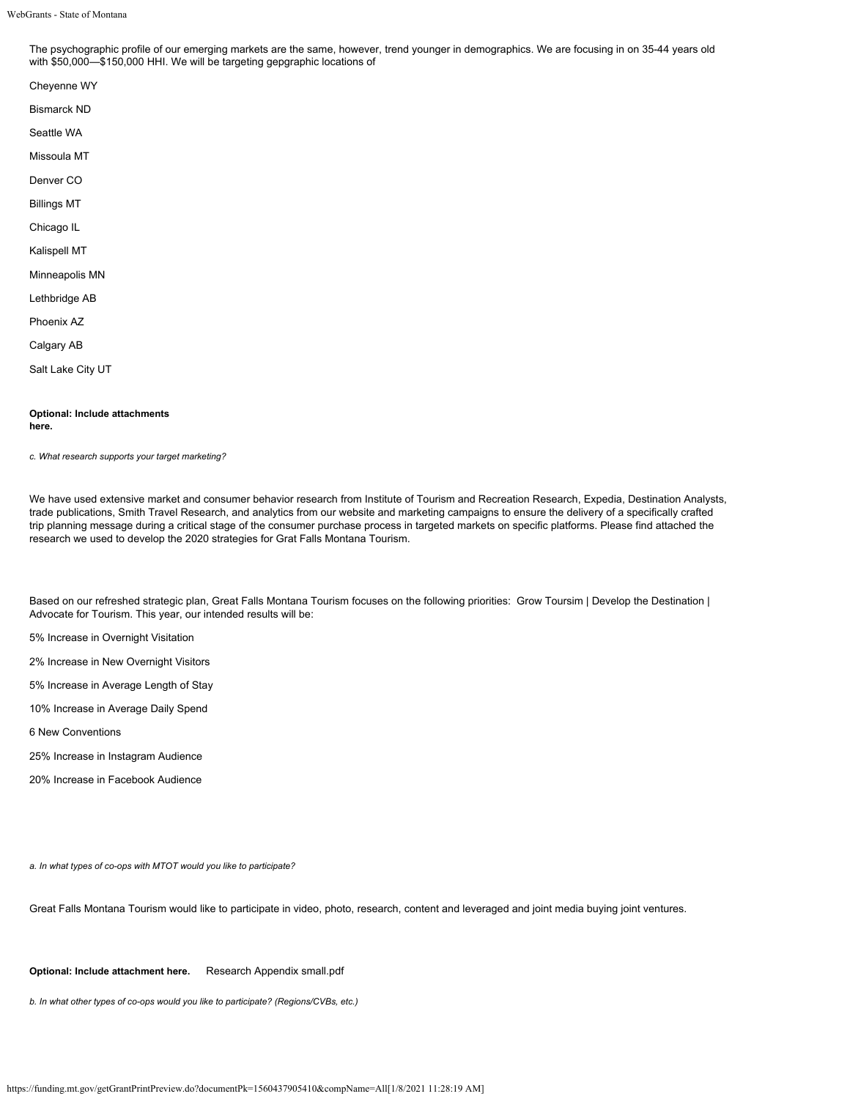The psychographic profile of our emerging markets are the same, however, trend younger in demographics. We are focusing in on 35-44 years old with \$50,000—\$150,000 HHI. We will be targeting gepgraphic locations of

Cheyenne WY Bismarck ND Seattle WA Missoula MT Denver CO Billings MT Chicago IL Kalispell MT Minneapolis MN Lethbridge AB Phoenix AZ Calgary AB

Salt Lake City UT

#### **Optional: Include attachments here.**

*c. What research supports your target marketing?*

We have used extensive market and consumer behavior research from Institute of Tourism and Recreation Research, Expedia, Destination Analysts, trade publications, Smith Travel Research, and analytics from our website and marketing campaigns to ensure the delivery of a specifically crafted trip planning message during a critical stage of the consumer purchase process in targeted markets on specific platforms. Please find attached the research we used to develop the 2020 strategies for Grat Falls Montana Tourism.

Based on our refreshed strategic plan, Great Falls Montana Tourism focuses on the following priorities: Grow Toursim | Develop the Destination | Advocate for Tourism. This year, our intended results will be:

5% Increase in Overnight Visitation

2% Increase in New Overnight Visitors

5% Increase in Average Length of Stay

10% Increase in Average Daily Spend

6 New Conventions

25% Increase in Instagram Audience

20% Increase in Facebook Audience

*a. In what types of co-ops with MTOT would you like to participate?*

Great Falls Montana Tourism would like to participate in video, photo, research, content and leveraged and joint media buying joint ventures.

**Optional: Include attachment here.** [Research Appendix small.pdf](https://funding.mt.gov/fileDownload.jsp?filename=1556746877458_Research+Appendix+small.pdf)

*b. In what other types of co-ops would you like to participate? (Regions/CVBs, etc.)*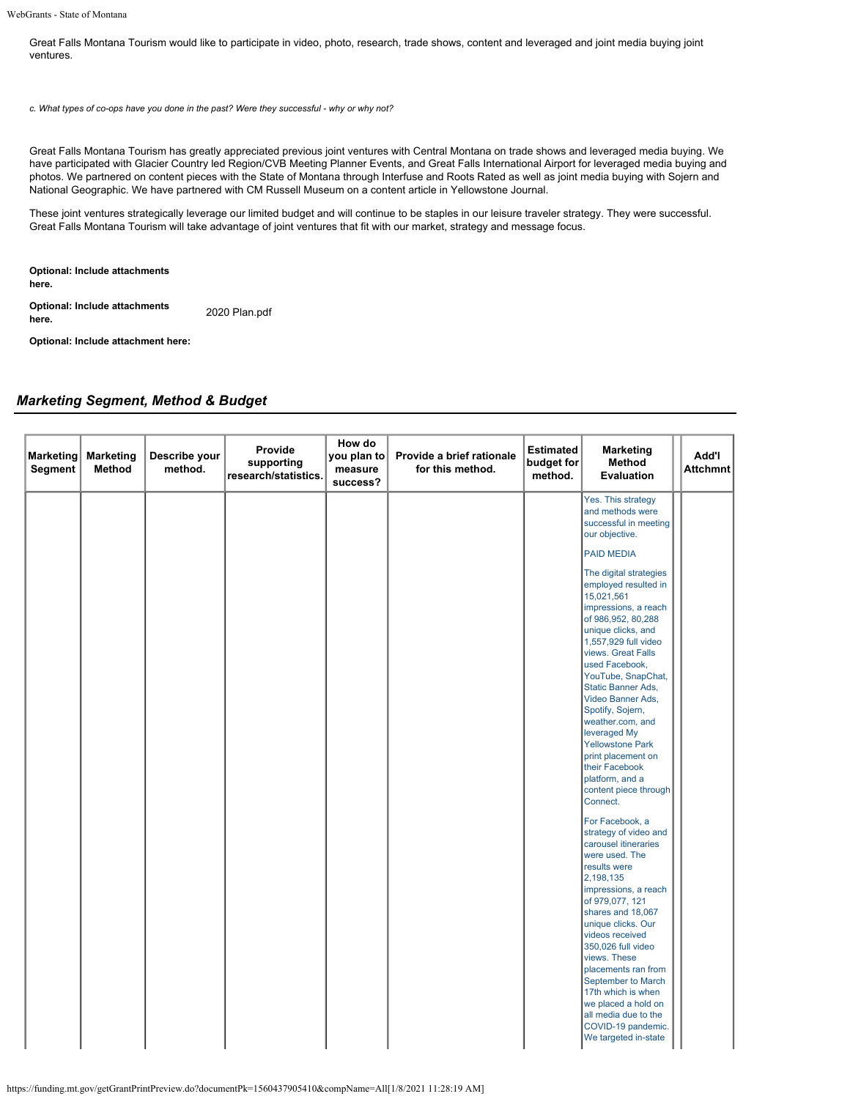Great Falls Montana Tourism would like to participate in video, photo, research, trade shows, content and leveraged and joint media buying joint ventures.

*c. What types of co-ops have you done in the past? Were they successful - why or why not?*

Great Falls Montana Tourism has greatly appreciated previous joint ventures with Central Montana on trade shows and leveraged media buying. We have participated with Glacier Country led Region/CVB Meeting Planner Events, and Great Falls International Airport for leveraged media buying and photos. We partnered on content pieces with the State of Montana through Interfuse and Roots Rated as well as joint media buying with Sojern and National Geographic. We have partnered with CM Russell Museum on a content article in Yellowstone Journal.

These joint ventures strategically leverage our limited budget and will continue to be staples in our leisure traveler strategy. They were successful. Great Falls Montana Tourism will take advantage of joint ventures that fit with our market, strategy and message focus.

**Optional: Include attachments here.**

**Optional: Include attachments between** [2020 Plan.pdf](https://funding.mt.gov/fileDownload.jsp?filename=1556746877447_2020+Plan.pdf)<br>here.

**Optional: Include attachment here:**

## *Marketing Segment, Method & Budget*

| <b>Marketing</b><br>Segment | <b>Marketing</b><br>Method | Describe your<br>method. | Provide<br>supporting<br>research/statistics. | How do<br>you plan to<br>measure<br>success? | Provide a brief rationale<br>for this method. | <b>Estimated</b><br>budget for<br>method. | <b>Marketing</b><br>Method<br>Evaluation                                                                                                                                                                                                                                                                                                                                                                                                             | Add'l<br>Attchmnt |
|-----------------------------|----------------------------|--------------------------|-----------------------------------------------|----------------------------------------------|-----------------------------------------------|-------------------------------------------|------------------------------------------------------------------------------------------------------------------------------------------------------------------------------------------------------------------------------------------------------------------------------------------------------------------------------------------------------------------------------------------------------------------------------------------------------|-------------------|
|                             |                            |                          |                                               |                                              |                                               |                                           | Yes. This strategy<br>and methods were<br>successful in meeting<br>our objective.                                                                                                                                                                                                                                                                                                                                                                    |                   |
|                             |                            |                          |                                               |                                              |                                               |                                           | PAID MEDIA                                                                                                                                                                                                                                                                                                                                                                                                                                           |                   |
|                             |                            |                          |                                               |                                              |                                               |                                           | The digital strategies<br>employed resulted in<br>15,021,561<br>impressions, a reach<br>of 986,952, 80,288<br>unique clicks, and<br>1,557,929 full video<br>views. Great Falls<br>used Facebook,<br>YouTube, SnapChat,<br>Static Banner Ads,<br>Video Banner Ads,<br>Spotify, Sojern,<br>weather.com, and<br>leveraged My<br><b>Yellowstone Park</b><br>print placement on<br>their Facebook<br>platform, and a<br>content piece through<br>Connect. |                   |
|                             |                            |                          |                                               |                                              |                                               |                                           | For Facebook, a<br>strategy of video and<br>carousel itineraries<br>were used. The<br>results were<br>2,198,135<br>impressions, a reach<br>of 979,077, 121<br>shares and 18,067<br>unique clicks. Our<br>videos received<br>350,026 full video<br>views. These<br>placements ran from<br>September to March<br>17th which is when<br>we placed a hold on<br>all media due to the<br>COVID-19 pandemic.<br>We targeted in-state                       |                   |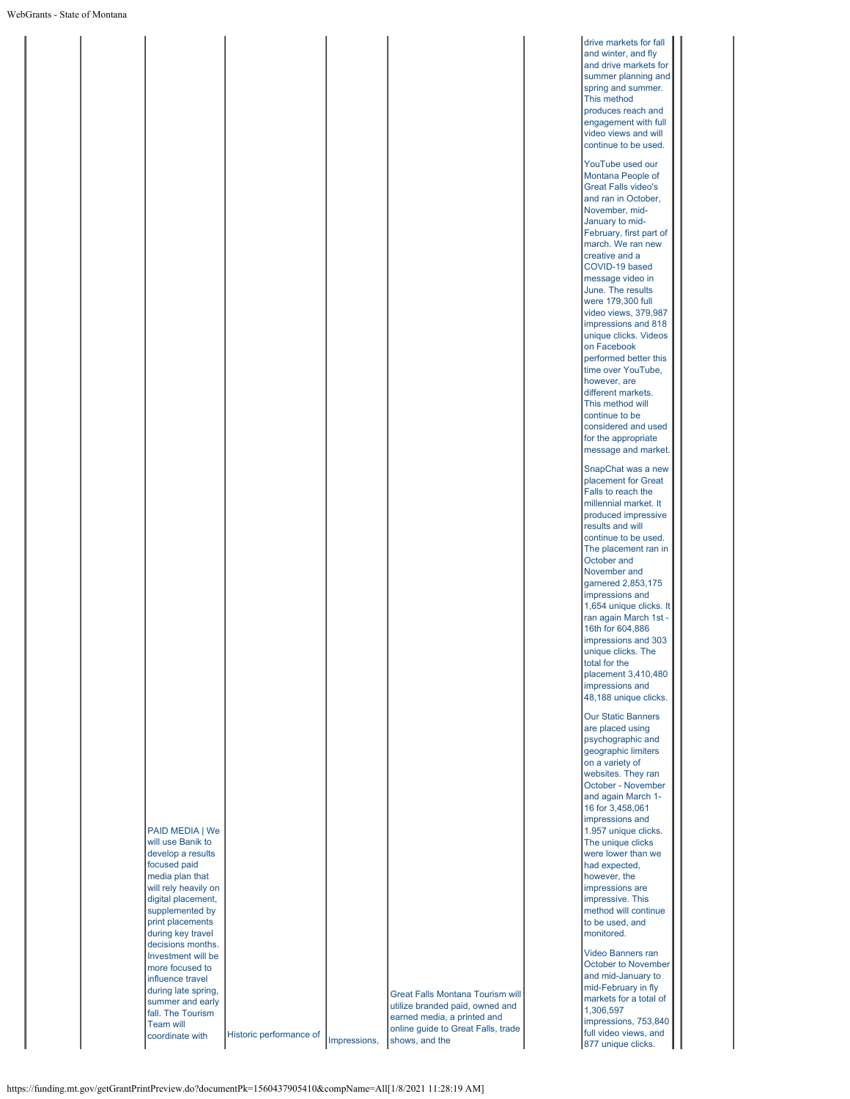|  |                                       |                         |              |                                    | drive markets for fall                       |  |
|--|---------------------------------------|-------------------------|--------------|------------------------------------|----------------------------------------------|--|
|  |                                       |                         |              |                                    | and winter, and fly                          |  |
|  |                                       |                         |              |                                    | and drive markets for<br>summer planning and |  |
|  |                                       |                         |              |                                    | spring and summer.                           |  |
|  |                                       |                         |              |                                    | This method                                  |  |
|  |                                       |                         |              |                                    | produces reach and                           |  |
|  |                                       |                         |              |                                    | engagement with full                         |  |
|  |                                       |                         |              |                                    | video views and will                         |  |
|  |                                       |                         |              |                                    | continue to be used.                         |  |
|  |                                       |                         |              |                                    | YouTube used our                             |  |
|  |                                       |                         |              |                                    | Montana People of                            |  |
|  |                                       |                         |              |                                    | <b>Great Falls video's</b>                   |  |
|  |                                       |                         |              |                                    | and ran in October,                          |  |
|  |                                       |                         |              |                                    | November, mid-                               |  |
|  |                                       |                         |              |                                    | January to mid-                              |  |
|  |                                       |                         |              |                                    | February, first part of                      |  |
|  |                                       |                         |              |                                    | march. We ran new                            |  |
|  |                                       |                         |              |                                    | creative and a                               |  |
|  |                                       |                         |              |                                    | COVID-19 based                               |  |
|  |                                       |                         |              |                                    | message video in<br>June. The results        |  |
|  |                                       |                         |              |                                    | were 179,300 full                            |  |
|  |                                       |                         |              |                                    | video views, 379,987                         |  |
|  |                                       |                         |              |                                    | impressions and 818                          |  |
|  |                                       |                         |              |                                    | unique clicks. Videos                        |  |
|  |                                       |                         |              |                                    | on Facebook                                  |  |
|  |                                       |                         |              |                                    | performed better this                        |  |
|  |                                       |                         |              |                                    | time over YouTube,                           |  |
|  |                                       |                         |              |                                    | however, are<br>different markets.           |  |
|  |                                       |                         |              |                                    | This method will                             |  |
|  |                                       |                         |              |                                    | continue to be                               |  |
|  |                                       |                         |              |                                    | considered and used                          |  |
|  |                                       |                         |              |                                    | for the appropriate                          |  |
|  |                                       |                         |              |                                    | message and market.                          |  |
|  |                                       |                         |              |                                    | SnapChat was a new                           |  |
|  |                                       |                         |              |                                    | placement for Great                          |  |
|  |                                       |                         |              |                                    | Falls to reach the                           |  |
|  |                                       |                         |              |                                    | millennial market. It                        |  |
|  |                                       |                         |              |                                    | produced impressive                          |  |
|  |                                       |                         |              |                                    | results and will                             |  |
|  |                                       |                         |              |                                    | continue to be used.                         |  |
|  |                                       |                         |              |                                    | The placement ran in<br>October and          |  |
|  |                                       |                         |              |                                    | November and                                 |  |
|  |                                       |                         |              |                                    | garnered 2,853,175                           |  |
|  |                                       |                         |              |                                    | impressions and                              |  |
|  |                                       |                         |              |                                    | 1,654 unique clicks. It                      |  |
|  |                                       |                         |              |                                    | ran again March 1st -                        |  |
|  |                                       |                         |              |                                    | 16th for 604,886                             |  |
|  |                                       |                         |              |                                    | impressions and 303                          |  |
|  |                                       |                         |              |                                    | unique clicks. The                           |  |
|  |                                       |                         |              |                                    | total for the<br>placement 3,410,480         |  |
|  |                                       |                         |              |                                    | impressions and                              |  |
|  |                                       |                         |              |                                    | 48,188 unique clicks.                        |  |
|  |                                       |                         |              |                                    |                                              |  |
|  |                                       |                         |              |                                    | <b>Our Static Banners</b>                    |  |
|  |                                       |                         |              |                                    | are placed using<br>psychographic and        |  |
|  |                                       |                         |              |                                    | geographic limiters                          |  |
|  |                                       |                         |              |                                    | on a variety of                              |  |
|  |                                       |                         |              |                                    | websites. They ran                           |  |
|  |                                       |                         |              |                                    | October - November                           |  |
|  |                                       |                         |              |                                    | and again March 1-                           |  |
|  |                                       |                         |              |                                    | 16 for 3,458,061                             |  |
|  |                                       |                         |              |                                    | impressions and                              |  |
|  | PAID MEDIA   We<br>will use Banik to  |                         |              |                                    | 1.957 unique clicks.<br>The unique clicks    |  |
|  | develop a results                     |                         |              |                                    | were lower than we                           |  |
|  | focused paid                          |                         |              |                                    | had expected,                                |  |
|  | media plan that                       |                         |              |                                    | however, the                                 |  |
|  | will rely heavily on                  |                         |              |                                    | impressions are                              |  |
|  | digital placement,                    |                         |              |                                    | impressive. This                             |  |
|  | supplemented by                       |                         |              |                                    | method will continue                         |  |
|  | print placements<br>during key travel |                         |              |                                    | to be used, and<br>monitored.                |  |
|  | decisions months.                     |                         |              |                                    |                                              |  |
|  | Investment will be                    |                         |              |                                    | Video Banners ran                            |  |
|  | more focused to                       |                         |              |                                    | October to November                          |  |
|  | influence travel                      |                         |              |                                    | and mid-January to                           |  |
|  | during late spring,                   |                         |              | Great Falls Montana Tourism will   | mid-February in fly                          |  |
|  | summer and early                      |                         |              | utilize branded paid, owned and    | markets for a total of<br>1,306,597          |  |
|  | fall. The Tourism<br><b>Team will</b> |                         |              | earned media, a printed and        | impressions, 753,840                         |  |
|  | coordinate with                       | Historic performance of |              | online guide to Great Falls, trade | full video views, and                        |  |
|  |                                       |                         | Impressions, | shows, and the                     | 877 unique clicks.                           |  |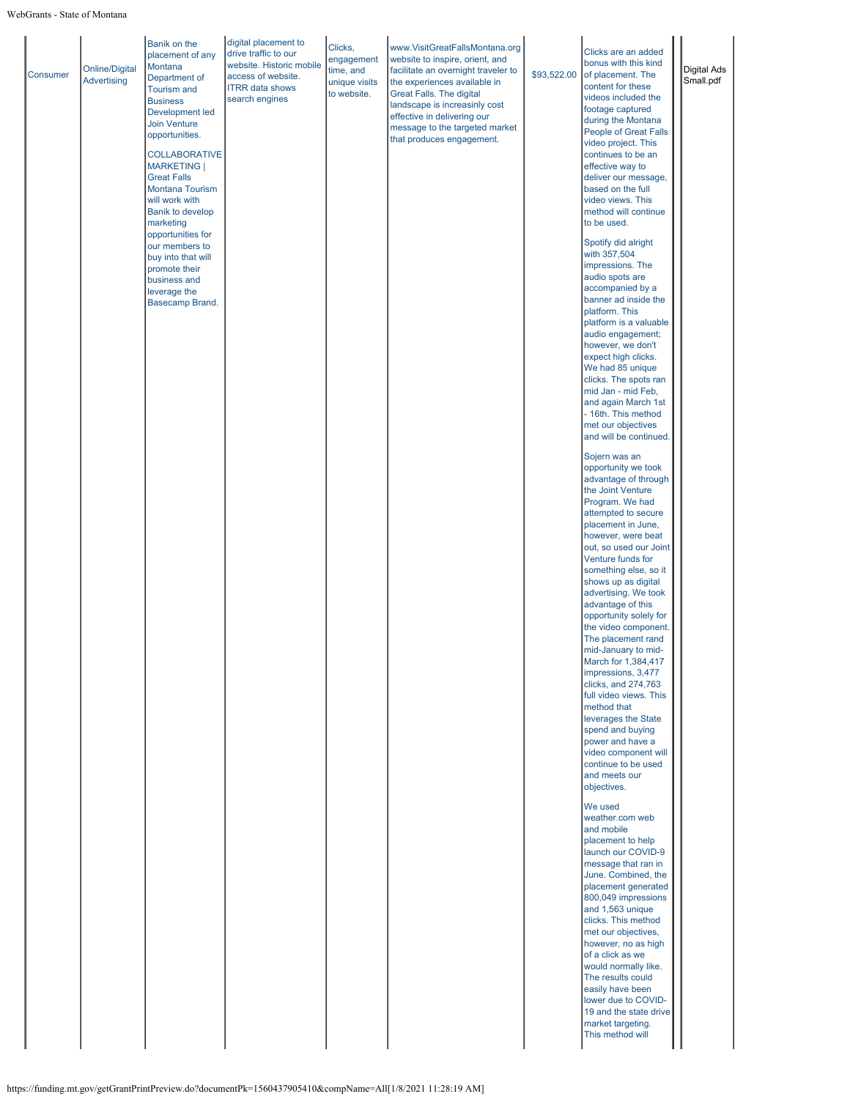| <b>Consumer</b> | <b>Online/Digital</b><br>Advertising | placement of any<br>Montana<br>Department of<br><b>Tourism and</b><br><b>Business</b><br>Development led<br><b>Join Venture</b><br>opportunities.<br><b>COLLABORATIVE</b><br>MARKETING  <br><b>Great Falls</b><br>Montana Tourism<br>will work with<br><b>Banik to develop</b><br>marketing<br>opportunities for<br>our members to<br>buy into that will<br>promote their<br>business and<br>leverage the<br>Basecamp Brand. | drive traffic to our<br>website. Historic mobile<br>access of website.<br><b>ITRR</b> data shows<br>search engines | engagement<br>time, and<br>unique visits<br>to website. | www.VisitGreatFallsMontana.org<br>website to inspire, orient, and<br>facilitate an overnight traveler to<br>the experiences available in<br>Great Falls. The digital<br>landscape is increasinly cost<br>effective in delivering our<br>message to the targeted market<br>that produces engagement. | \$93,522.00 | Clicks are an added<br>bonus with this kind<br>of placement. The<br>content for these<br>videos included the<br>footage captured<br>during the Montana<br>People of Great Falls<br>video project. This<br>continues to be an<br>effective way to<br>deliver our message,<br>based on the full<br>video views. This<br>method will continue<br>to be used.<br>Spotify did alright<br>with 357,504<br>impressions. The<br>audio spots are<br>accompanied by a<br>banner ad inside the<br>platform. This<br>platform is a valuable<br>audio engagement;<br>however, we don't<br>expect high clicks.<br>We had 85 unique<br>clicks. The spots ran<br>mid Jan - mid Feb,<br>and again March 1st<br>- 16th. This method<br>met our objectives<br>and will be continued.<br>Sojern was an<br>opportunity we took<br>advantage of through<br>the Joint Venture<br>Program. We had<br>attempted to secure<br>placement in June,<br>however, were beat<br>out, so used our Joint<br>Venture funds for<br>something else, so it<br>shows up as digital<br>advertising. We took<br>advantage of this<br>opportunity solely for<br>the video component.<br>The placement rand<br>mid-January to mid-<br>March for 1,384,417<br>impressions, 3,477<br>clicks, and 274,763<br>full video views. This<br>method that<br>leverages the State<br>spend and buying<br>power and have a<br>video component will<br>continue to be used<br>and meets our<br>objectives.<br>We used<br>weather.com web<br>and mobile<br>placement to help<br>launch our COVID-9<br>message that ran in<br>June. Combined, the<br>placement generated<br>800,049 impressions<br>and 1,563 unique<br>clicks. This method<br>met our objectives,<br>however, no as high<br>of a click as we<br>would normally like.<br>The results could<br>easily have been<br>lower due to COVID-<br>19 and the state drive<br>market targeting.<br>This method will | <b>Digital Ads</b><br>Small.pdf |  |
|-----------------|--------------------------------------|------------------------------------------------------------------------------------------------------------------------------------------------------------------------------------------------------------------------------------------------------------------------------------------------------------------------------------------------------------------------------------------------------------------------------|--------------------------------------------------------------------------------------------------------------------|---------------------------------------------------------|-----------------------------------------------------------------------------------------------------------------------------------------------------------------------------------------------------------------------------------------------------------------------------------------------------|-------------|---------------------------------------------------------------------------------------------------------------------------------------------------------------------------------------------------------------------------------------------------------------------------------------------------------------------------------------------------------------------------------------------------------------------------------------------------------------------------------------------------------------------------------------------------------------------------------------------------------------------------------------------------------------------------------------------------------------------------------------------------------------------------------------------------------------------------------------------------------------------------------------------------------------------------------------------------------------------------------------------------------------------------------------------------------------------------------------------------------------------------------------------------------------------------------------------------------------------------------------------------------------------------------------------------------------------------------------------------------------------------------------------------------------------------------------------------------------------------------------------------------------------------------------------------------------------------------------------------------------------------------------------------------------------------------------------------------------------------------------------------------------------------------------------------------------------------------------------------------------------------------------------------------------|---------------------------------|--|
|-----------------|--------------------------------------|------------------------------------------------------------------------------------------------------------------------------------------------------------------------------------------------------------------------------------------------------------------------------------------------------------------------------------------------------------------------------------------------------------------------------|--------------------------------------------------------------------------------------------------------------------|---------------------------------------------------------|-----------------------------------------------------------------------------------------------------------------------------------------------------------------------------------------------------------------------------------------------------------------------------------------------------|-------------|---------------------------------------------------------------------------------------------------------------------------------------------------------------------------------------------------------------------------------------------------------------------------------------------------------------------------------------------------------------------------------------------------------------------------------------------------------------------------------------------------------------------------------------------------------------------------------------------------------------------------------------------------------------------------------------------------------------------------------------------------------------------------------------------------------------------------------------------------------------------------------------------------------------------------------------------------------------------------------------------------------------------------------------------------------------------------------------------------------------------------------------------------------------------------------------------------------------------------------------------------------------------------------------------------------------------------------------------------------------------------------------------------------------------------------------------------------------------------------------------------------------------------------------------------------------------------------------------------------------------------------------------------------------------------------------------------------------------------------------------------------------------------------------------------------------------------------------------------------------------------------------------------------------|---------------------------------|--|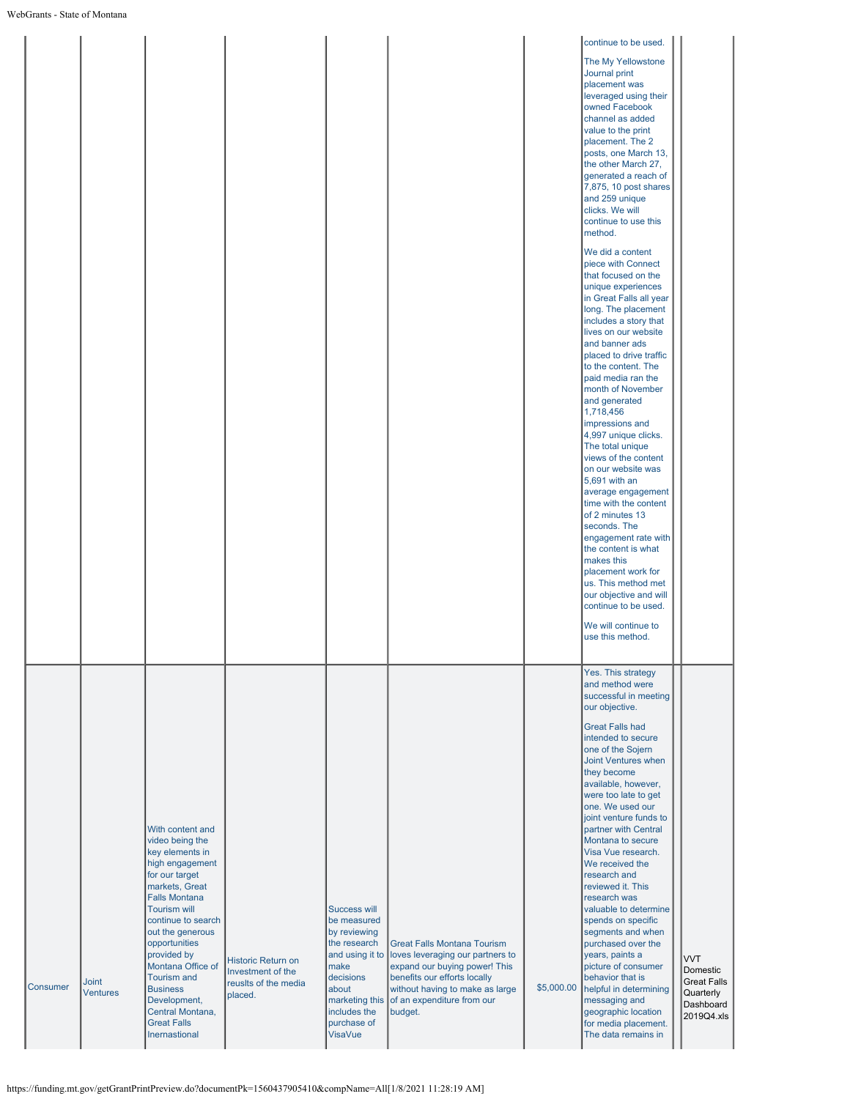|                 |                          |                                                                                                                                                                                                                                                                                                                                                                                 |                                                                            |                                                                                                                                                               |                                                                                                                                                                                                                                    |            | continue to be used.<br>The My Yellowstone<br>Journal print<br>placement was<br>leveraged using their<br>owned Facebook<br>channel as added<br>value to the print<br>placement. The 2<br>posts, one March 13,<br>the other March 27,<br>generated a reach of<br>7,875, 10 post shares<br>and 259 unique<br>clicks. We will<br>continue to use this<br>method.<br>We did a content<br>piece with Connect<br>that focused on the<br>unique experiences<br>in Great Falls all year<br>long. The placement<br>includes a story that<br>lives on our website<br>and banner ads<br>placed to drive traffic<br>to the content. The<br>paid media ran the<br>month of November<br>and generated<br>1,718,456<br>impressions and<br>4,997 unique clicks.<br>The total unique<br>views of the content<br>on our website was<br>5,691 with an<br>average engagement<br>time with the content<br>of 2 minutes 13<br>seconds. The<br>engagement rate with<br>the content is what<br>makes this<br>placement work for<br>us. This method met<br>our objective and will<br>continue to be used.<br>We will continue to<br>use this method. |                                                                                      |
|-----------------|--------------------------|---------------------------------------------------------------------------------------------------------------------------------------------------------------------------------------------------------------------------------------------------------------------------------------------------------------------------------------------------------------------------------|----------------------------------------------------------------------------|---------------------------------------------------------------------------------------------------------------------------------------------------------------|------------------------------------------------------------------------------------------------------------------------------------------------------------------------------------------------------------------------------------|------------|-----------------------------------------------------------------------------------------------------------------------------------------------------------------------------------------------------------------------------------------------------------------------------------------------------------------------------------------------------------------------------------------------------------------------------------------------------------------------------------------------------------------------------------------------------------------------------------------------------------------------------------------------------------------------------------------------------------------------------------------------------------------------------------------------------------------------------------------------------------------------------------------------------------------------------------------------------------------------------------------------------------------------------------------------------------------------------------------------------------------------------|--------------------------------------------------------------------------------------|
| <b>Consumer</b> | Joint<br><b>Ventures</b> | With content and<br>video being the<br>key elements in<br>high engagement<br>for our target<br>markets, Great<br><b>Falls Montana</b><br><b>Tourism will</b><br>continue to search<br>out the generous<br>opportunities<br>provided by<br>Montana Office of<br><b>Tourism and</b><br><b>Business</b><br>Development,<br>Central Montana,<br><b>Great Falls</b><br>Inernastional | Historic Return on<br>Investment of the<br>reuslts of the media<br>placed. | Success will<br>be measured<br>by reviewing<br>the research<br>and using it to<br>make<br>decisions<br>about<br>includes the<br>purchase of<br><b>VisaVue</b> | <b>Great Falls Montana Tourism</b><br>loves leveraging our partners to<br>expand our buying power! This<br>benefits our efforts locally<br>without having to make as large<br>marketing this of an expenditure from our<br>budget. | \$5,000.00 | Yes. This strategy<br>and method were<br>successful in meeting<br>our objective.<br><b>Great Falls had</b><br>intended to secure<br>one of the Sojern<br>Joint Ventures when<br>they become<br>available, however,<br>were too late to get<br>one. We used our<br>joint venture funds to<br>partner with Central<br>Montana to secure<br>Visa Vue research.<br>We received the<br>research and<br>reviewed it. This<br>research was<br>valuable to determine<br>spends on specific<br>segments and when<br>purchased over the<br>years, paints a<br>picture of consumer<br>behavior that is<br>helpful in determining<br>messaging and<br>geographic location<br>for media placement.<br>The data remains in                                                                                                                                                                                                                                                                                                                                                                                                                | <b>VVT</b><br>Domestic<br><b>Great Falls</b><br>Quarterly<br>Dashboard<br>2019Q4.xls |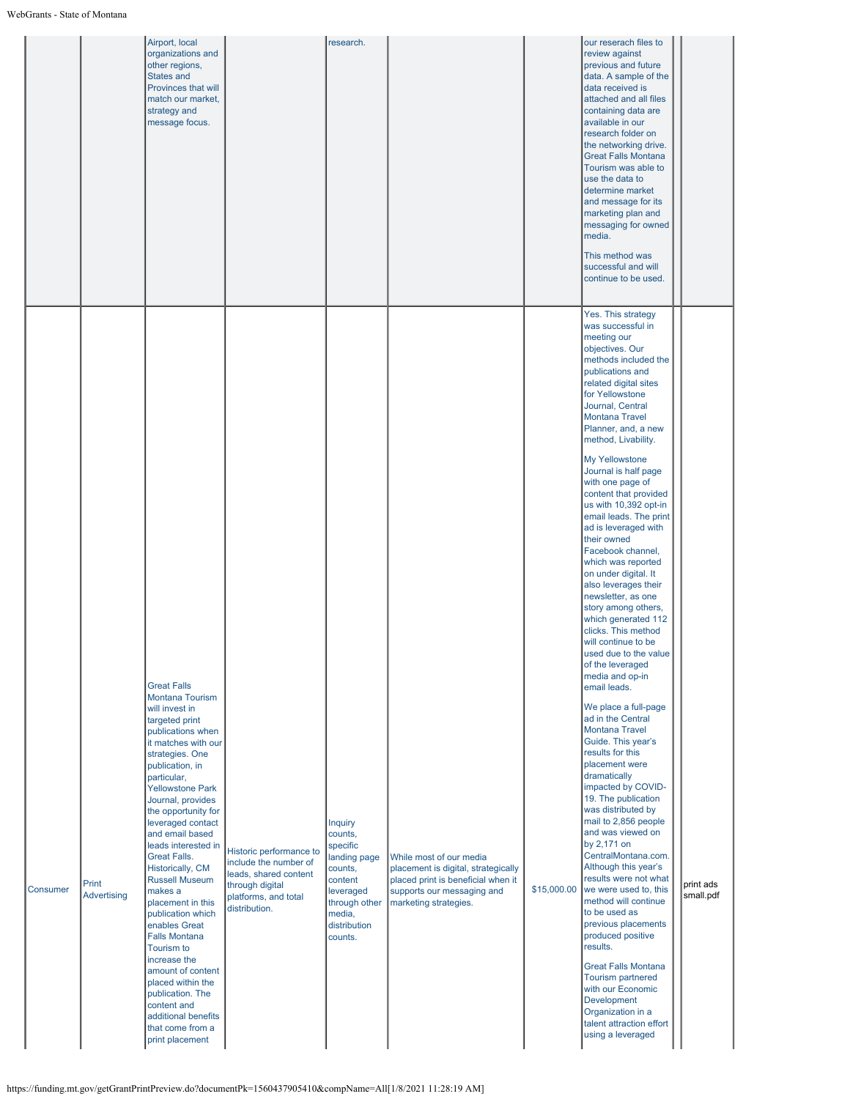|          |                      | Airport, local<br>organizations and<br>other regions,<br>States and<br>Provinces that will<br>match our market,<br>strategy and<br>message focus.                                                                                                                                                                                                                                                                                                                                                                                                                                                                                                           |                                                                                                                                       | research.                                                                                                                                      |                                                                                                                                                             |             | our reserach files to<br>review against<br>previous and future<br>data. A sample of the<br>data received is<br>attached and all files<br>containing data are<br>available in our<br>research folder on<br>the networking drive.<br><b>Great Falls Montana</b><br>Tourism was able to<br>use the data to<br>determine market<br>and message for its<br>marketing plan and<br>messaging for owned<br>media.<br>This method was<br>successful and will<br>continue to be used.                                                                                                                                                                                                                                                                                                                                                                                                                                                                                                                                                                                                                                                                                                                                                                                                                                                                                                                       |                        |
|----------|----------------------|-------------------------------------------------------------------------------------------------------------------------------------------------------------------------------------------------------------------------------------------------------------------------------------------------------------------------------------------------------------------------------------------------------------------------------------------------------------------------------------------------------------------------------------------------------------------------------------------------------------------------------------------------------------|---------------------------------------------------------------------------------------------------------------------------------------|------------------------------------------------------------------------------------------------------------------------------------------------|-------------------------------------------------------------------------------------------------------------------------------------------------------------|-------------|---------------------------------------------------------------------------------------------------------------------------------------------------------------------------------------------------------------------------------------------------------------------------------------------------------------------------------------------------------------------------------------------------------------------------------------------------------------------------------------------------------------------------------------------------------------------------------------------------------------------------------------------------------------------------------------------------------------------------------------------------------------------------------------------------------------------------------------------------------------------------------------------------------------------------------------------------------------------------------------------------------------------------------------------------------------------------------------------------------------------------------------------------------------------------------------------------------------------------------------------------------------------------------------------------------------------------------------------------------------------------------------------------|------------------------|
| Consumer | Print<br>Advertising | <b>Great Falls</b><br>Montana Tourism<br>will invest in<br>targeted print<br>publications when<br>it matches with our<br>strategies. One<br>publication, in<br>particular,<br><b>Yellowstone Park</b><br>Journal, provides<br>the opportunity for<br>leveraged contact<br>and email based<br>leads interested in<br><b>Great Falls.</b><br>Historically, CM<br><b>Russell Museum</b><br>makes a<br>placement in this<br>publication which<br>enables Great<br><b>Falls Montana</b><br>Tourism to<br>increase the<br>amount of content<br>placed within the<br>publication. The<br>content and<br>additional benefits<br>that come from a<br>print placement | Historic performance to<br>include the number of<br>leads, shared content<br>through digital<br>platforms, and total<br>distribution. | <b>Inquiry</b><br>counts,<br>specific<br>landing page<br>counts,<br>content<br>leveraged<br>through other<br>media,<br>distribution<br>counts. | While most of our media<br>placement is digital, strategically<br>placed print is beneficial when it<br>supports our messaging and<br>marketing strategies. | \$15,000.00 | Yes. This strategy<br>was successful in<br>meeting our<br>objectives. Our<br>methods included the<br>publications and<br>related digital sites<br>for Yellowstone<br>Journal, Central<br><b>Montana Travel</b><br>Planner, and, a new<br>method, Livability.<br>My Yellowstone<br>Journal is half page<br>with one page of<br>content that provided<br>us with 10,392 opt-in<br>email leads. The print<br>ad is leveraged with<br>their owned<br>Facebook channel,<br>which was reported<br>on under digital. It<br>also leverages their<br>newsletter, as one<br>story among others,<br>which generated 112<br>clicks. This method<br>will continue to be<br>used due to the value<br>of the leveraged<br>media and op-in<br>email leads.<br>We place a full-page<br>ad in the Central<br><b>Montana Travel</b><br>Guide. This year's<br>results for this<br>placement were<br>dramatically<br>impacted by COVID-<br>19. The publication<br>was distributed by<br>mail to 2,856 people<br>and was viewed on<br>by 2,171 on<br>CentralMontana.com.<br>Although this year's<br>results were not what<br>we were used to, this<br>method will continue<br>to be used as<br>previous placements<br>produced positive<br>results.<br><b>Great Falls Montana</b><br><b>Tourism partnered</b><br>with our Economic<br>Development<br>Organization in a<br>talent attraction effort<br>using a leveraged | print ads<br>small.pdf |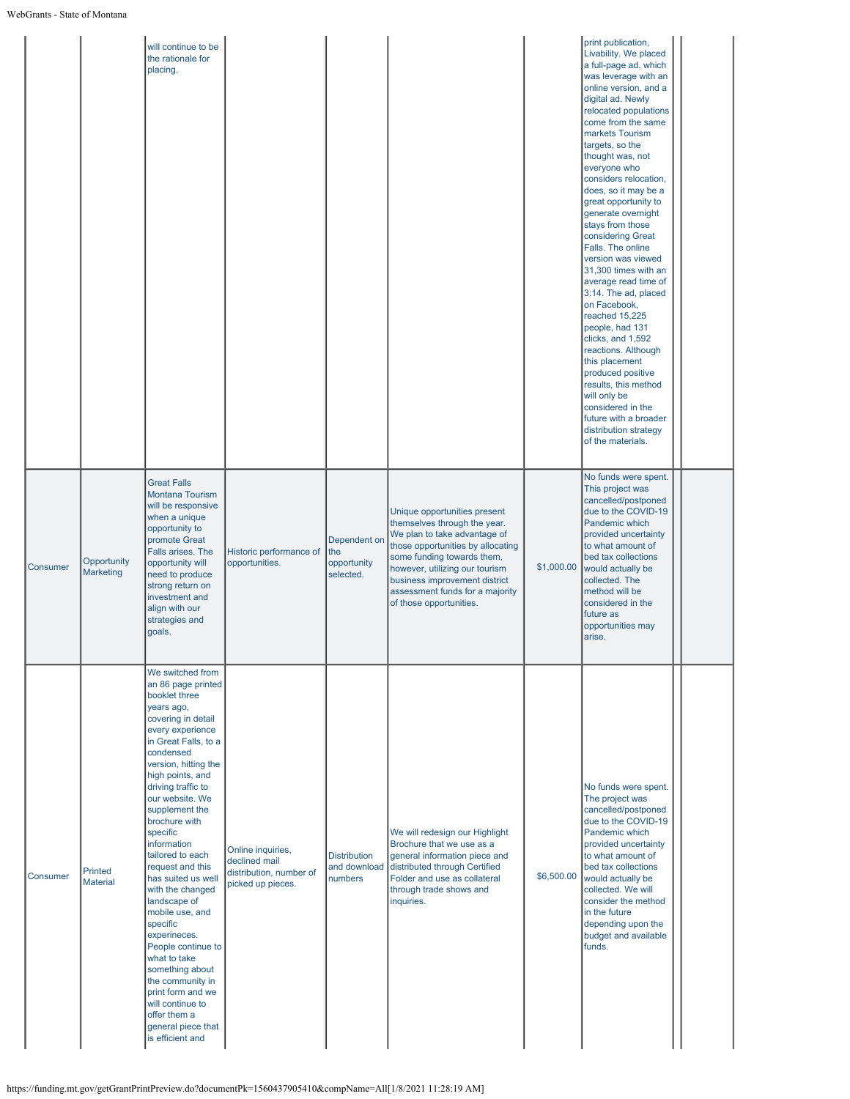|                 |                                   | will continue to be<br>the rationale for<br>placing.                                                                                                                                                                                                                                                                                                                                                                                                                                                                                                                                                                                     |                                                                                    |                                                 |                                                                                                                                                                                                                                                                                                  |            | print publication,<br>Livability. We placed<br>a full-page ad, which<br>was leverage with an<br>online version, and a<br>digital ad. Newly<br>relocated populations<br>come from the same<br>markets Tourism<br>targets, so the<br>thought was, not<br>everyone who<br>considers relocation,<br>does, so it may be a<br>great opportunity to<br>generate overnight<br>stays from those<br>considering Great<br>Falls. The online<br>version was viewed<br>31,300 times with an<br>average read time of<br>3:14. The ad, placed<br>on Facebook,<br>reached 15,225<br>people, had 131<br>clicks, and 1,592<br>reactions. Although<br>this placement<br>produced positive<br>results, this method<br>will only be<br>considered in the<br>future with a broader<br>distribution strategy<br>of the materials. |  |  |
|-----------------|-----------------------------------|------------------------------------------------------------------------------------------------------------------------------------------------------------------------------------------------------------------------------------------------------------------------------------------------------------------------------------------------------------------------------------------------------------------------------------------------------------------------------------------------------------------------------------------------------------------------------------------------------------------------------------------|------------------------------------------------------------------------------------|-------------------------------------------------|--------------------------------------------------------------------------------------------------------------------------------------------------------------------------------------------------------------------------------------------------------------------------------------------------|------------|------------------------------------------------------------------------------------------------------------------------------------------------------------------------------------------------------------------------------------------------------------------------------------------------------------------------------------------------------------------------------------------------------------------------------------------------------------------------------------------------------------------------------------------------------------------------------------------------------------------------------------------------------------------------------------------------------------------------------------------------------------------------------------------------------------|--|--|
| <b>Consumer</b> | Opportunity<br><b>Marketing</b>   | <b>Great Falls</b><br><b>Montana Tourism</b><br>will be responsive<br>when a unique<br>opportunity to<br>promote Great<br>Falls arises. The<br>opportunity will<br>need to produce<br>strong return on<br>investment and<br>align with our<br>strategies and<br>goals.                                                                                                                                                                                                                                                                                                                                                                   | Historic performance of<br>opportunities.                                          | Dependent on<br>the<br>opportunity<br>selected. | Unique opportunities present<br>themselves through the year.<br>We plan to take advantage of<br>those opportunities by allocating<br>some funding towards them,<br>however, utilizing our tourism<br>business improvement district<br>assessment funds for a majority<br>of those opportunities. | \$1,000.00 | No funds were spent.<br>This project was<br>cancelled/postponed<br>due to the COVID-19<br>Pandemic which<br>provided uncertainty<br>to what amount of<br>bed tax collections<br>would actually be<br>collected. The<br>method will be<br>considered in the<br>future as<br>opportunities may<br>arise.                                                                                                                                                                                                                                                                                                                                                                                                                                                                                                     |  |  |
| Consumer        | <b>Printed</b><br><b>Material</b> | We switched from<br>an 86 page printed<br>booklet three<br>years ago,<br>covering in detail<br>every experience<br>in Great Falls, to a<br>condensed<br>version, hitting the<br>high points, and<br>driving traffic to<br>our website. We<br>supplement the<br>brochure with<br>specific<br>information<br>tailored to each<br>request and this<br>has suited us well<br>with the changed<br>landscape of<br>mobile use, and<br>specific<br>experineces.<br>People continue to<br>what to take<br>something about<br>the community in<br>print form and we<br>will continue to<br>offer them a<br>general piece that<br>is efficient and | Online inquiries,<br>declined mail<br>distribution, number of<br>picked up pieces. | <b>Distribution</b><br>and download<br>numbers  | We will redesign our Highlight<br>Brochure that we use as a<br>general information piece and<br>distributed through Certified<br>Folder and use as collateral<br>through trade shows and<br>inquiries.                                                                                           | \$6,500.00 | No funds were spent.<br>The project was<br>cancelled/postponed<br>due to the COVID-19<br>Pandemic which<br>provided uncertainty<br>to what amount of<br>bed tax collections<br>would actually be<br>collected. We will<br>consider the method<br>in the future<br>depending upon the<br>budget and available<br>funds.                                                                                                                                                                                                                                                                                                                                                                                                                                                                                     |  |  |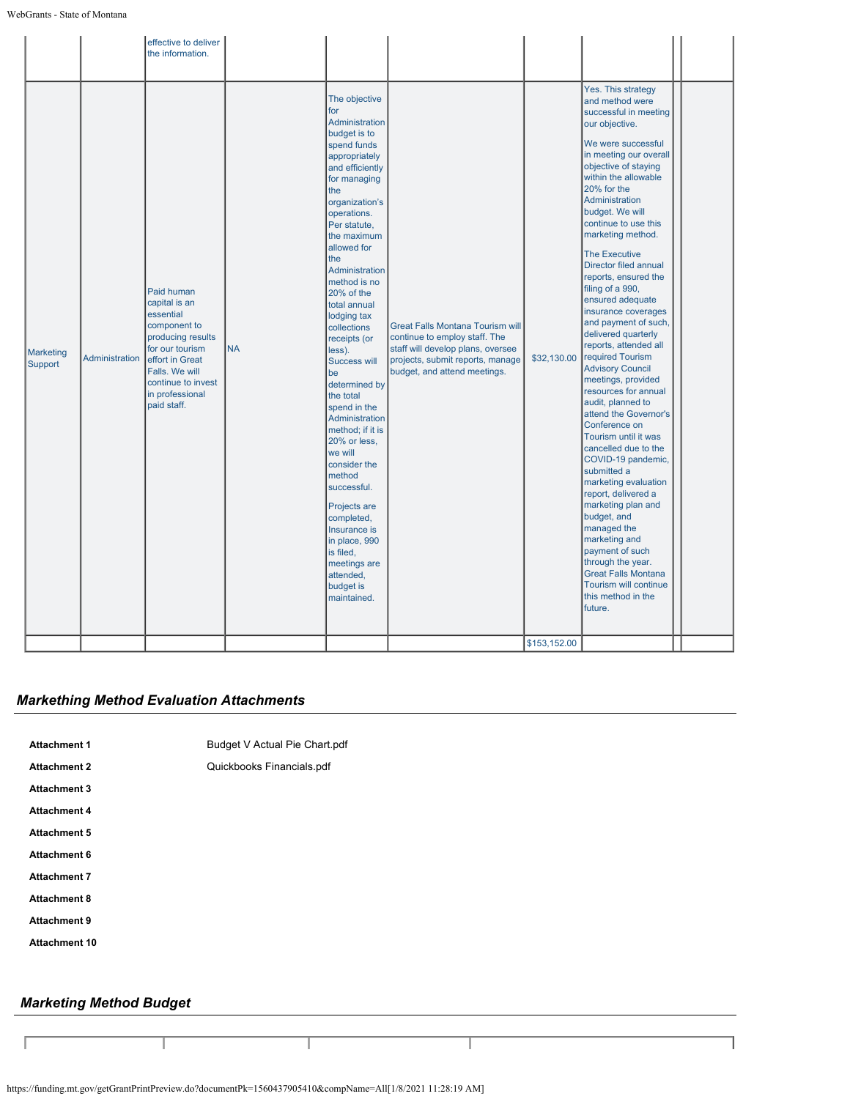|                             |                | effective to deliver<br>the information.                                                                                                                                                      |           |                                                                                                                                                                                                                                                                                                                                                                                                                                                                                                                                                                                                                                                                          |                                                                                                                                                                            |                             |                                                                                                                                                                                                                                                                                                                                                                                                                                                                                                                                                                                                                                                                                                                                                                                                                                                                                                                                                                                                        |  |
|-----------------------------|----------------|-----------------------------------------------------------------------------------------------------------------------------------------------------------------------------------------------|-----------|--------------------------------------------------------------------------------------------------------------------------------------------------------------------------------------------------------------------------------------------------------------------------------------------------------------------------------------------------------------------------------------------------------------------------------------------------------------------------------------------------------------------------------------------------------------------------------------------------------------------------------------------------------------------------|----------------------------------------------------------------------------------------------------------------------------------------------------------------------------|-----------------------------|--------------------------------------------------------------------------------------------------------------------------------------------------------------------------------------------------------------------------------------------------------------------------------------------------------------------------------------------------------------------------------------------------------------------------------------------------------------------------------------------------------------------------------------------------------------------------------------------------------------------------------------------------------------------------------------------------------------------------------------------------------------------------------------------------------------------------------------------------------------------------------------------------------------------------------------------------------------------------------------------------------|--|
| <b>Marketing</b><br>Support | Administration | Paid human<br>capital is an<br>essential<br>component to<br>producing results<br>for our tourism<br>effort in Great<br>Falls, We will<br>continue to invest<br>in professional<br>paid staff. | <b>NA</b> | The objective<br>for<br>Administration<br>budget is to<br>spend funds<br>appropriately<br>and efficiently<br>for managing<br>the<br>organization's<br>operations.<br>Per statute,<br>the maximum<br>allowed for<br>the<br>Administration<br>method is no<br>20% of the<br>total annual<br>lodging tax<br>collections<br>receipts (or<br>less).<br><b>Success will</b><br>be<br>determined by<br>the total<br>spend in the<br>Administration<br>method; if it is<br>20% or less,<br>we will<br>consider the<br>method<br>successful.<br>Projects are<br>completed,<br>Insurance is<br>in place, 990<br>is filed,<br>meetings are<br>attended,<br>budget is<br>maintained. | Great Falls Montana Tourism will<br>continue to employ staff. The<br>staff will develop plans, oversee<br>projects, submit reports, manage<br>budget, and attend meetings. | \$32,130.00<br>\$153,152.00 | Yes. This strategy<br>and method were<br>successful in meeting<br>our objective.<br>We were successful<br>in meeting our overall<br>objective of staying<br>within the allowable<br>20% for the<br>Administration<br>budget. We will<br>continue to use this<br>marketing method.<br><b>The Executive</b><br>Director filed annual<br>reports, ensured the<br>filing of a 990,<br>ensured adequate<br>insurance coverages<br>and payment of such,<br>delivered quarterly<br>reports, attended all<br>required Tourism<br><b>Advisory Council</b><br>meetings, provided<br>resources for annual<br>audit, planned to<br>attend the Governor's<br>Conference on<br>Tourism until it was<br>cancelled due to the<br>COVID-19 pandemic,<br>submitted a<br>marketing evaluation<br>report, delivered a<br>marketing plan and<br>budget, and<br>managed the<br>marketing and<br>payment of such<br>through the year.<br><b>Great Falls Montana</b><br>Tourism will continue<br>this method in the<br>future. |  |
|                             |                |                                                                                                                                                                                               |           |                                                                                                                                                                                                                                                                                                                                                                                                                                                                                                                                                                                                                                                                          |                                                                                                                                                                            |                             |                                                                                                                                                                                                                                                                                                                                                                                                                                                                                                                                                                                                                                                                                                                                                                                                                                                                                                                                                                                                        |  |

## *Markething Method Evaluation Attachments*

| <b>Attachment 1</b>  | Budget V Actual Pie Chart.pdf |
|----------------------|-------------------------------|
| <b>Attachment 2</b>  | Quickbooks Financials.pdf     |
| <b>Attachment 3</b>  |                               |
| <b>Attachment 4</b>  |                               |
| <b>Attachment 5</b>  |                               |
| <b>Attachment 6</b>  |                               |
| <b>Attachment 7</b>  |                               |
| <b>Attachment 8</b>  |                               |
| <b>Attachment 9</b>  |                               |
| <b>Attachment 10</b> |                               |
|                      |                               |

# *Marketing Method Budget*

I

Е

https://funding.mt.gov/getGrantPrintPreview.do?documentPk=1560437905410&compName=All[1/8/2021 11:28:19 AM]

Τ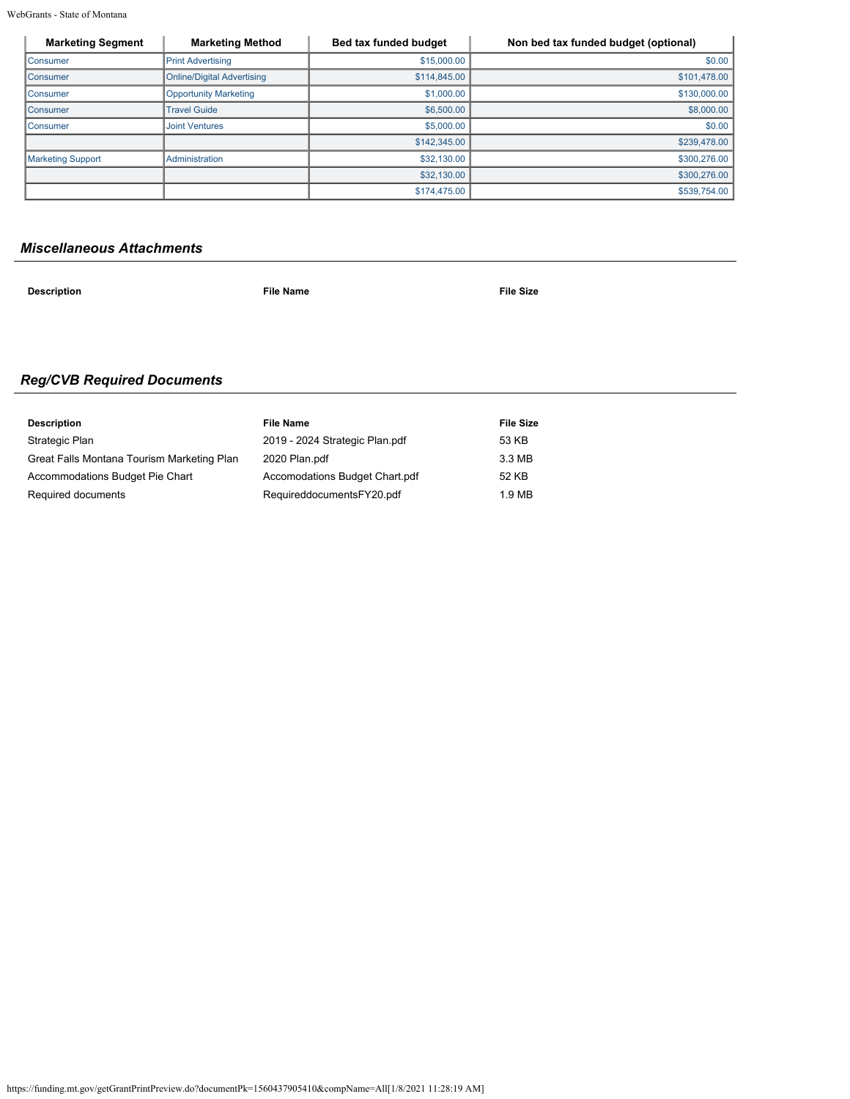WebGrants - State of Montana

| <b>Marketing Segment</b> | <b>Marketing Method</b>           | Bed tax funded budget | Non bed tax funded budget (optional) |
|--------------------------|-----------------------------------|-----------------------|--------------------------------------|
| <b>Consumer</b>          | <b>Print Advertising</b>          | \$15,000.00           | \$0.00                               |
| Consumer                 | <b>Online/Digital Advertising</b> | \$114,845.00          | \$101,478.00                         |
| Consumer                 | <b>Opportunity Marketing</b>      | \$1,000.00            | \$130,000.00                         |
| <b>Consumer</b>          | <b>Travel Guide</b>               | \$6,500.00            | \$8,000.00                           |
| <b>Consumer</b>          | <b>Joint Ventures</b>             | \$5,000.00            | \$0.00                               |
|                          |                                   | \$142,345.00          | \$239,478.00                         |
| <b>Marketing Support</b> | Administration                    | \$32,130.00           | \$300,276.00                         |
|                          |                                   | \$32,130.00           | \$300,276.00                         |
|                          |                                   | \$174,475.00          | \$539,754.00                         |

## *Miscellaneous Attachments*

**Description File Name File Size**

# *Reg/CVB Required Documents*

| <b>Description</b>                         | <b>File Name</b>               | <b>File Size</b> |
|--------------------------------------------|--------------------------------|------------------|
| Strategic Plan                             | 2019 - 2024 Strategic Plan.pdf | 53 KB            |
| Great Falls Montana Tourism Marketing Plan | 2020 Plan.pdf                  | 3.3 MB           |
| Accommodations Budget Pie Chart            | Accomodations Budget Chart.pdf | 52 KB            |
| Required documents                         | RequireddocumentsFY20.pdf      | 1.9 MB           |